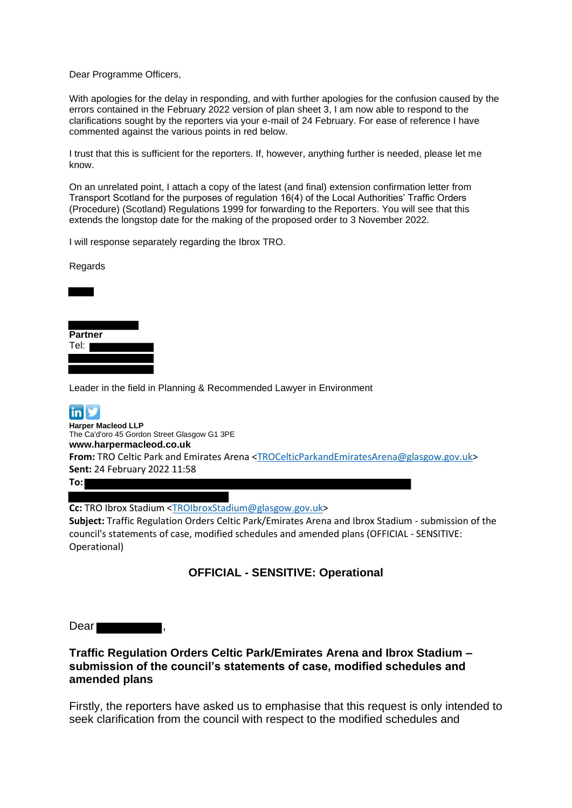Dear Programme Officers,

With apologies for the delay in responding, and with further apologies for the confusion caused by the errors contained in the February 2022 version of plan sheet 3, I am now able to respond to the clarifications sought by the reporters via your e-mail of 24 February. For ease of reference I have commented against the various points in red below.

I trust that this is sufficient for the reporters. If, however, anything further is needed, please let me know.

On an unrelated point, I attach a copy of the latest (and final) extension confirmation letter from Transport Scotland for the purposes of regulation 16(4) of the Local Authorities' Traffic Orders (Procedure) (Scotland) Regulations 1999 for forwarding to the Reporters. You will see that this extends the longstop date for the making of the proposed order to 3 November 2022.

I will response separately regarding the Ibrox TRO.

Regards



Leader in the field in Planning & Recommended Lawyer in Environment



**Harper Macleod LLP** The Ca'd'oro 45 Gordon Street Glasgow G1 3PE **[www.harpermacleod.co.uk](http://www.harpermacleod.co.uk/) From:** TRO Celtic Park and Emirates Arena [<TROCelticParkandEmiratesArena@glasgow.gov.uk>](mailto:TROCelticParkandEmiratesArena@glasgow.gov.uk) **Sent:** 24 February 2022 11:58

**To:**

**Cc:** TRO Ibrox Stadium [<TROIbroxStadium@glasgow.gov.uk>](mailto:TROIbroxStadium@glasgow.gov.uk)

**Subject:** Traffic Regulation Orders Celtic Park/Emirates Arena and Ibrox Stadium - submission of the council's statements of case, modified schedules and amended plans (OFFICIAL - SENSITIVE: Operational)

# **OFFICIAL - SENSITIVE: Operational**

Dear ,

## **Traffic Regulation Orders Celtic Park/Emirates Arena and Ibrox Stadium – submission of the council's statements of case, modified schedules and amended plans**

Firstly, the reporters have asked us to emphasise that this request is only intended to seek clarification from the council with respect to the modified schedules and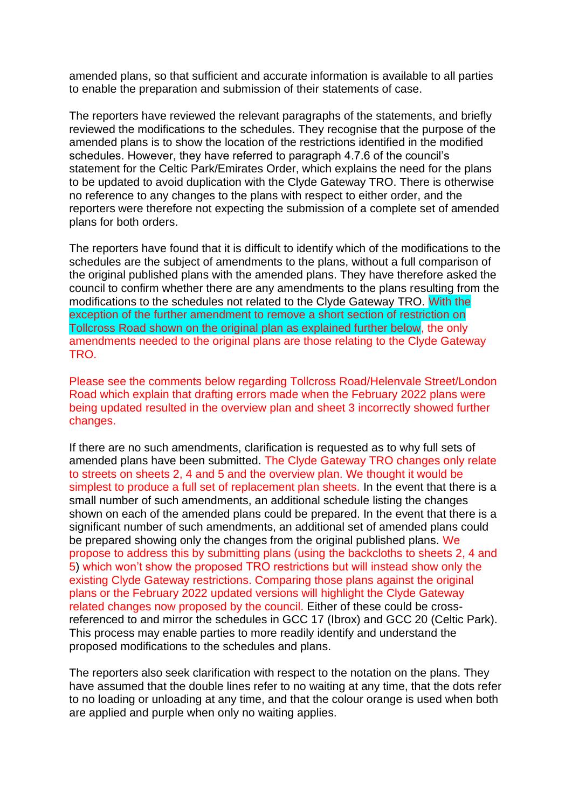amended plans, so that sufficient and accurate information is available to all parties to enable the preparation and submission of their statements of case.

The reporters have reviewed the relevant paragraphs of the statements, and briefly reviewed the modifications to the schedules. They recognise that the purpose of the amended plans is to show the location of the restrictions identified in the modified schedules. However, they have referred to paragraph 4.7.6 of the council's statement for the Celtic Park/Emirates Order, which explains the need for the plans to be updated to avoid duplication with the Clyde Gateway TRO. There is otherwise no reference to any changes to the plans with respect to either order, and the reporters were therefore not expecting the submission of a complete set of amended plans for both orders.

The reporters have found that it is difficult to identify which of the modifications to the schedules are the subject of amendments to the plans, without a full comparison of the original published plans with the amended plans. They have therefore asked the council to confirm whether there are any amendments to the plans resulting from the modifications to the schedules not related to the Clyde Gateway TRO. With the exception of the further amendment to remove a short section of restriction on Tollcross Road shown on the original plan as explained further below, the only amendments needed to the original plans are those relating to the Clyde Gateway TRO.

Please see the comments below regarding Tollcross Road/Helenvale Street/London Road which explain that drafting errors made when the February 2022 plans were being updated resulted in the overview plan and sheet 3 incorrectly showed further changes.

If there are no such amendments, clarification is requested as to why full sets of amended plans have been submitted. The Clyde Gateway TRO changes only relate to streets on sheets 2, 4 and 5 and the overview plan. We thought it would be simplest to produce a full set of replacement plan sheets. In the event that there is a small number of such amendments, an additional schedule listing the changes shown on each of the amended plans could be prepared. In the event that there is a significant number of such amendments, an additional set of amended plans could be prepared showing only the changes from the original published plans. We propose to address this by submitting plans (using the backcloths to sheets 2, 4 and 5) which won't show the proposed TRO restrictions but will instead show only the existing Clyde Gateway restrictions. Comparing those plans against the original plans or the February 2022 updated versions will highlight the Clyde Gateway related changes now proposed by the council. Either of these could be crossreferenced to and mirror the schedules in GCC 17 (Ibrox) and GCC 20 (Celtic Park). This process may enable parties to more readily identify and understand the proposed modifications to the schedules and plans.

The reporters also seek clarification with respect to the notation on the plans. They have assumed that the double lines refer to no waiting at any time, that the dots refer to no loading or unloading at any time, and that the colour orange is used when both are applied and purple when only no waiting applies.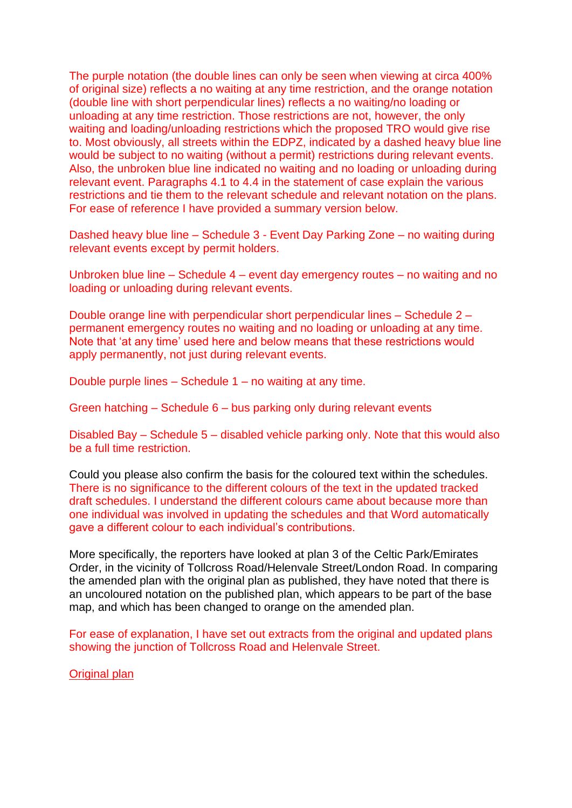The purple notation (the double lines can only be seen when viewing at circa 400% of original size) reflects a no waiting at any time restriction, and the orange notation (double line with short perpendicular lines) reflects a no waiting/no loading or unloading at any time restriction. Those restrictions are not, however, the only waiting and loading/unloading restrictions which the proposed TRO would give rise to. Most obviously, all streets within the EDPZ, indicated by a dashed heavy blue line would be subject to no waiting (without a permit) restrictions during relevant events. Also, the unbroken blue line indicated no waiting and no loading or unloading during relevant event. Paragraphs 4.1 to 4.4 in the statement of case explain the various restrictions and tie them to the relevant schedule and relevant notation on the plans. For ease of reference I have provided a summary version below.

Dashed heavy blue line – Schedule 3 - Event Day Parking Zone – no waiting during relevant events except by permit holders.

Unbroken blue line – Schedule 4 – event day emergency routes – no waiting and no loading or unloading during relevant events.

Double orange line with perpendicular short perpendicular lines – Schedule 2 – permanent emergency routes no waiting and no loading or unloading at any time. Note that 'at any time' used here and below means that these restrictions would apply permanently, not just during relevant events.

Double purple lines – Schedule 1 – no waiting at any time.

Green hatching – Schedule 6 – bus parking only during relevant events

Disabled Bay – Schedule 5 – disabled vehicle parking only. Note that this would also be a full time restriction.

Could you please also confirm the basis for the coloured text within the schedules. There is no significance to the different colours of the text in the updated tracked draft schedules. I understand the different colours came about because more than one individual was involved in updating the schedules and that Word automatically gave a different colour to each individual's contributions.

More specifically, the reporters have looked at plan 3 of the Celtic Park/Emirates Order, in the vicinity of Tollcross Road/Helenvale Street/London Road. In comparing the amended plan with the original plan as published, they have noted that there is an uncoloured notation on the published plan, which appears to be part of the base map, and which has been changed to orange on the amended plan.

For ease of explanation, I have set out extracts from the original and updated plans showing the junction of Tollcross Road and Helenvale Street.

Original plan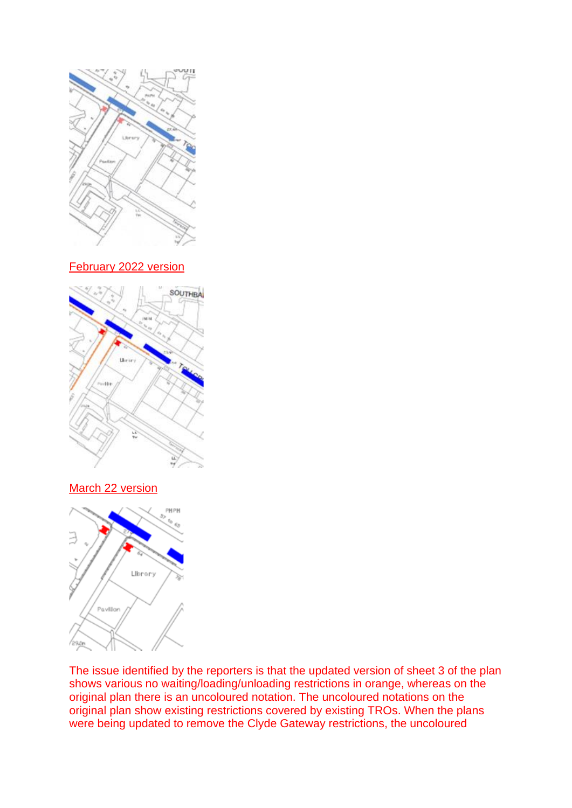

### February 2022 version



# March 22 version



The issue identified by the reporters is that the updated version of sheet 3 of the plan shows various no waiting/loading/unloading restrictions in orange, whereas on the original plan there is an uncoloured notation. The uncoloured notations on the original plan show existing restrictions covered by existing TROs. When the plans were being updated to remove the Clyde Gateway restrictions, the uncoloured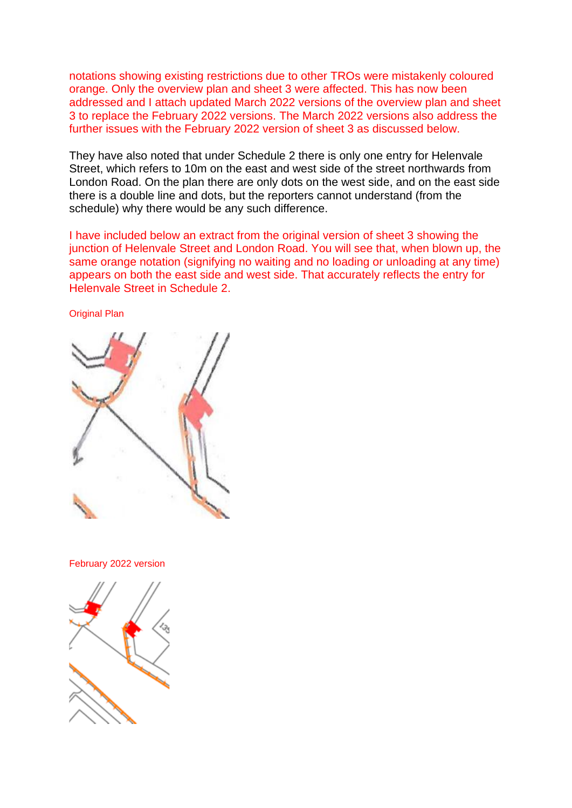notations showing existing restrictions due to other TROs were mistakenly coloured orange. Only the overview plan and sheet 3 were affected. This has now been addressed and I attach updated March 2022 versions of the overview plan and sheet 3 to replace the February 2022 versions. The March 2022 versions also address the further issues with the February 2022 version of sheet 3 as discussed below.

They have also noted that under Schedule 2 there is only one entry for Helenvale Street, which refers to 10m on the east and west side of the street northwards from London Road. On the plan there are only dots on the west side, and on the east side there is a double line and dots, but the reporters cannot understand (from the schedule) why there would be any such difference.

I have included below an extract from the original version of sheet 3 showing the junction of Helenvale Street and London Road. You will see that, when blown up, the same orange notation (signifying no waiting and no loading or unloading at any time) appears on both the east side and west side. That accurately reflects the entry for Helenvale Street in Schedule 2.

Original Plan

February 2022 version

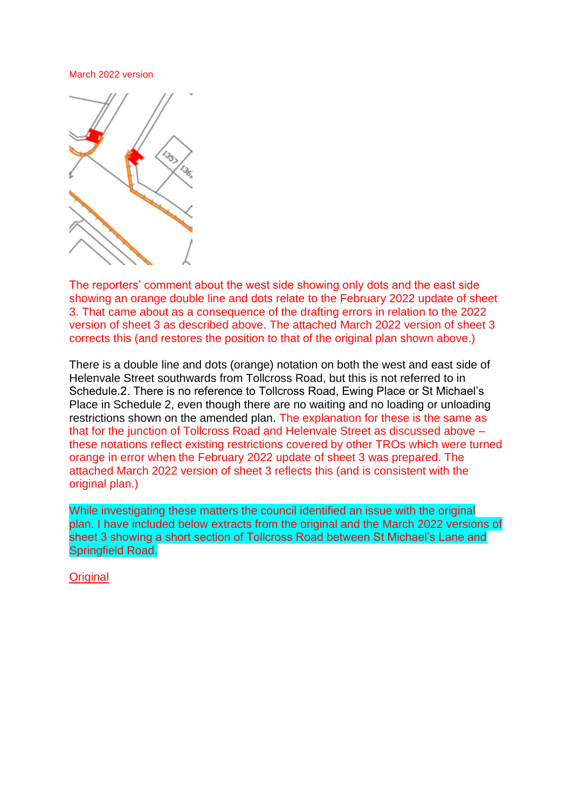#### March 2022 version



The reporters' comment about the west side showing only dots and the east side showing an orange double line and dots relate to the February 2022 update of sheet 3. That came about as a consequence of the drafting errors in relation to the 2022 version of sheet 3 as described above. The attached March 2022 version of sheet 3 corrects this (and restores the position to that of the original plan shown above.)

There is a double line and dots (orange) notation on both the west and east side of Helenvale Street southwards from Tollcross Road, but this is not referred to in Schedule.2. There is no reference to Tollcross Road, Ewing Place or St Michael's Place in Schedule 2, even though there are no waiting and no loading or unloading restrictions shown on the amended plan. The explanation for these is the same as that for the junction of Tollcross Road and Helenvale Street as discussed above – these notations reflect existing restrictions covered by other TROs which were turned orange in error when the February 2022 update of sheet 3 was prepared. The attached March 2022 version of sheet 3 reflects this (and is consistent with the original plan.)

While investigating these matters the council identified an issue with the original plan. I have included below extracts from the original and the March 2022 versions of sheet 3 showing a short section of Tollcross Road between St Michael's Lane and Springfield Road.

**Original**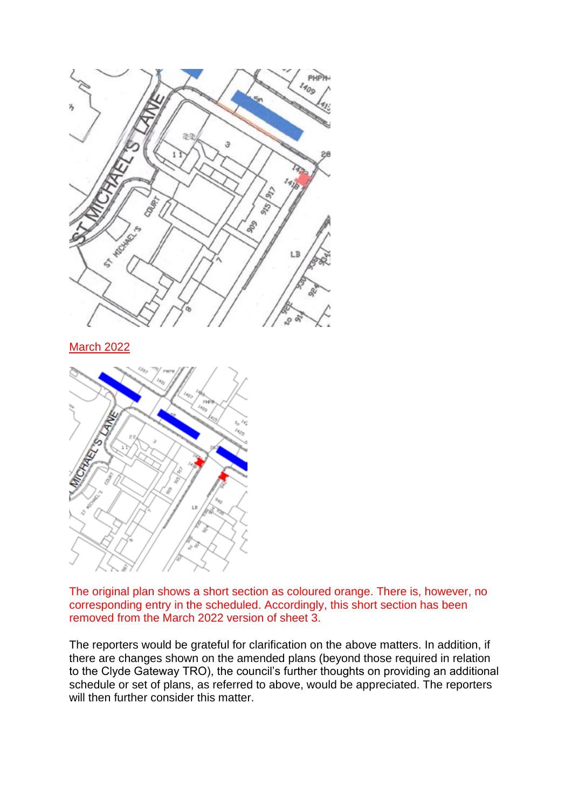

March 2022



The original plan shows a short section as coloured orange. There is, however, no corresponding entry in the scheduled. Accordingly, this short section has been removed from the March 2022 version of sheet 3.

The reporters would be grateful for clarification on the above matters. In addition, if there are changes shown on the amended plans (beyond those required in relation to the Clyde Gateway TRO), the council's further thoughts on providing an additional schedule or set of plans, as referred to above, would be appreciated. The reporters will then further consider this matter.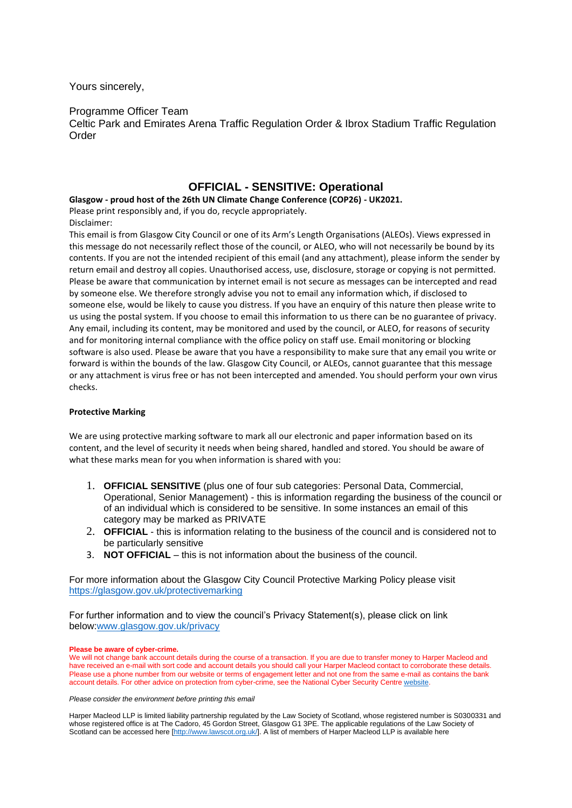Yours sincerely,

### Programme Officer Team

Celtic Park and Emirates Arena Traffic Regulation Order & Ibrox Stadium Traffic Regulation **Order** 

### **OFFICIAL - SENSITIVE: Operational**

**Glasgow - proud host of the 26th UN Climate Change Conference (COP26) - UK2021.**

Please print responsibly and, if you do, recycle appropriately.

Disclaimer:

This email is from Glasgow City Council or one of its Arm's Length Organisations (ALEOs). Views expressed in this message do not necessarily reflect those of the council, or ALEO, who will not necessarily be bound by its contents. If you are not the intended recipient of this email (and any attachment), please inform the sender by return email and destroy all copies. Unauthorised access, use, disclosure, storage or copying is not permitted. Please be aware that communication by internet email is not secure as messages can be intercepted and read by someone else. We therefore strongly advise you not to email any information which, if disclosed to someone else, would be likely to cause you distress. If you have an enquiry of this nature then please write to us using the postal system. If you choose to email this information to us there can be no guarantee of privacy. Any email, including its content, may be monitored and used by the council, or ALEO, for reasons of security and for monitoring internal compliance with the office policy on staff use. Email monitoring or blocking software is also used. Please be aware that you have a responsibility to make sure that any email you write or forward is within the bounds of the law. Glasgow City Council, or ALEOs, cannot guarantee that this message or any attachment is virus free or has not been intercepted and amended. You should perform your own virus checks.

#### **Protective Marking**

We are using protective marking software to mark all our electronic and paper information based on its content, and the level of security it needs when being shared, handled and stored. You should be aware of what these marks mean for you when information is shared with you:

- 1. **OFFICIAL SENSITIVE** (plus one of four sub categories: Personal Data, Commercial, Operational, Senior Management) - this is information regarding the business of the council or of an individual which is considered to be sensitive. In some instances an email of this category may be marked as PRIVATE
- 2. **OFFICIAL** this is information relating to the business of the council and is considered not to be particularly sensitive
- 3. **NOT OFFICIAL** this is not information about the business of the council.

For more information about the Glasgow City Council Protective Marking Policy please visit <https://glasgow.gov.uk/protectivemarking>

For further information and to view the council's Privacy Statement(s), please click on link below[:www.glasgow.gov.uk/privacy](http://www.glasgow.gov.uk/privacy)

#### **Please be aware of cyber-crime.**

We will not change bank account details during the course of a transaction. If you are due to transfer money to Harper Macleod and have received an e-mail with sort code and account details you should call your Harper Macleod contact to corroborate these details. Please use a phone number from our website or terms of engagement letter and not one from the same e-mail as contains the bank account details. For other advice on protection from cyber-crime, see the National Cyber Security Centr[e website.](https://www.ncsc.gov.uk/)

*Please consider the environment before printing this email*

Harper Macleod LLP is limited liability partnership regulated by the Law Society of Scotland, whose registered number is S0300331 and whose registered office is at The Cadoro, 45 Gordon Street, Glasgow G1 3PE. The applicable regulations of the Law Society of Scotland can be accessed here [\[http://www.lawscot.org.uk/\]](http://www.lawscot.org.uk/). A list of members of Harper Macleod LLP is available here